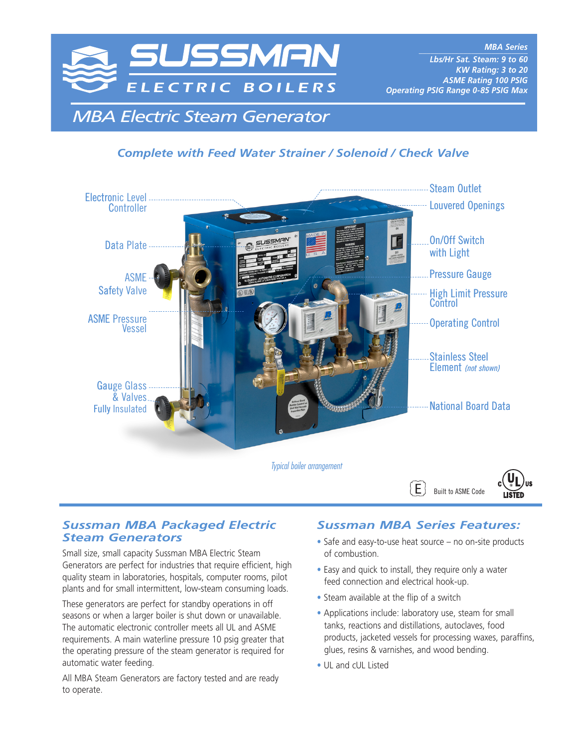

*MBA Series \_\_\_\_\_\_\_\_\_\_\_\_\_\_\_\_\_\_\_\_\_\_\_\_\_\_\_ Lbs/Hr Sat. Steam: 9 to 60 KW Rating: 3 to 20 ASME Rating 100 PSIG Operating PSIG Range 0-85 PSIG Max*

*MBA Electric Steam Generator*

## *Complete with Feed Water Strainer / Solenoid / Check Valve*



### *Sussman MBA Packaged Electric Steam Generators*

Small size, small capacity Sussman MBA Electric Steam Generators are perfect for industries that require efficient, high quality steam in laboratories, hospitals, computer rooms, pilot plants and for small intermittent, low-steam consuming loads.

These generators are perfect for standby operations in off seasons or when a larger boiler is shut down or unavailable. The automatic electronic controller meets all UL and ASME requirements. A main waterline pressure 10 psig greater that the operating pressure of the steam generator is required for automatic water feeding.

All MBA Steam Generators are factory tested and are ready to operate.

### *Sussman MBA Series Features:*

- **•** Safe and easy-to-use heat source no on-site products of combustion.
- **•** Easy and quick to install, they require only a water feed connection and electrical hook-up.
- **•** Steam available at the flip of a switch
- **•** Applications include: laboratory use, steam for small tanks, reactions and distillations, autoclaves, food products, jacketed vessels for processing waxes, paraffins, glues, resins & varnishes, and wood bending.
- **•** UL and cUL Listed